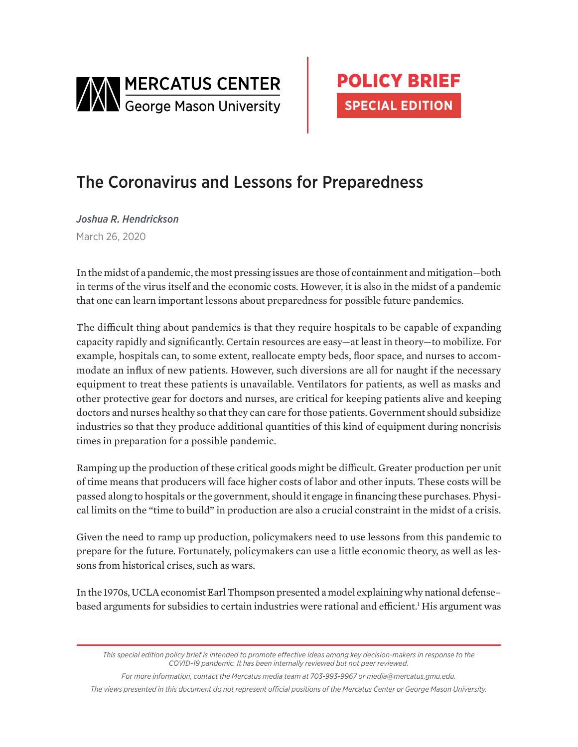



## The Coronavirus and Lessons for Preparedness

*Joshua R. Hendrickson* March 26, 2020

In the midst of a pandemic, the most pressing issues are those of containment and mitigation—both in terms of the virus itself and the economic costs. However, it is also in the midst of a pandemic that one can learn important lessons about preparedness for possible future pandemics.

The difficult thing about pandemics is that they require hospitals to be capable of expanding capacity rapidly and significantly. Certain resources are easy—at least in theory—to mobilize. For example, hospitals can, to some extent, reallocate empty beds, floor space, and nurses to accommodate an influx of new patients. However, such diversions are all for naught if the necessary equipment to treat these patients is unavailable. Ventilators for patients, as well as masks and other protective gear for doctors and nurses, are critical for keeping patients alive and keeping doctors and nurses healthy so that they can care for those patients. Government should subsidize industries so that they produce additional quantities of this kind of equipment during noncrisis times in preparation for a possible pandemic.

Ramping up the production of these critical goods might be difficult. Greater production per unit of time means that producers will face higher costs of labor and other inputs. These costs will be passed along to hospitals or the government, should it engage in financing these purchases. Physical limits on the "time to build" in production are also a crucial constraint in the midst of a crisis.

Given the need to ramp up production, policymakers need to use lessons from this pandemic to prepare for the future. Fortunately, policymakers can use a little economic theory, as well as lessons from historical crises, such as wars.

In the 1970s, UCLA economist Earl Thompson presented a model explaining why national defense– based arguments for subsidies to certain industries were rational and efficient.<sup>1</sup> His argument was

*For more information, contact the Mercatus media team at 703-993-9967 or media@mercatus.gmu.edu.*

*The views presented in this document do not represent official positions of the Mercatus Center or George Mason University.*

*This special edition policy brief is intended to promote effective ideas among key decision-makers in response to the COVID-19 pandemic. It has been internally reviewed but not peer reviewed.*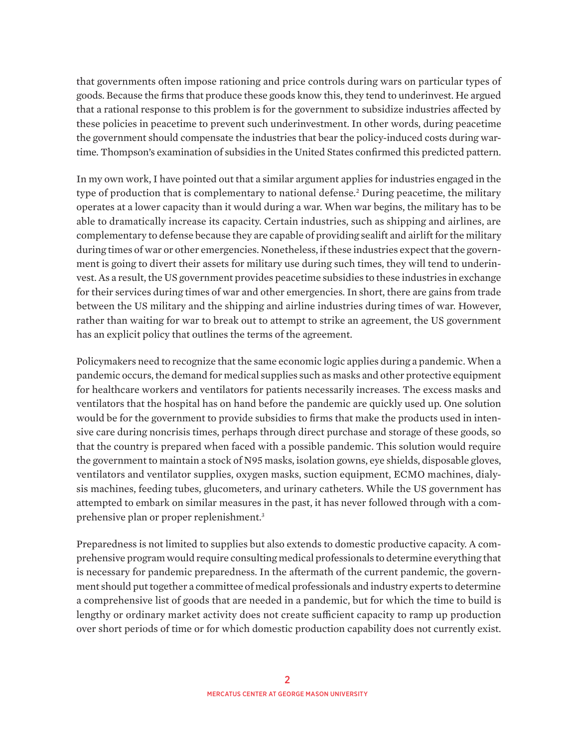that governments often impose rationing and price controls during wars on particular types of goods. Because the firms that produce these goods know this, they tend to underinvest. He argued that a rational response to this problem is for the government to subsidize industries affected by these policies in peacetime to prevent such underinvestment. In other words, during peacetime the government should compensate the industries that bear the policy-induced costs during wartime. Thompson's examination of subsidies in the United States confirmed this predicted pattern.

In my own work, I have pointed out that a similar argument applies for industries engaged in the type of production that is complementary to national defense.<sup>2</sup> During peacetime, the military operates at a lower capacity than it would during a war. When war begins, the military has to be able to dramatically increase its capacity. Certain industries, such as shipping and airlines, are complementary to defense because they are capable of providing sealift and airlift for the military during times of war or other emergencies. Nonetheless, if these industries expect that the government is going to divert their assets for military use during such times, they will tend to underinvest. As a result, the US government provides peacetime subsidies to these industries in exchange for their services during times of war and other emergencies. In short, there are gains from trade between the US military and the shipping and airline industries during times of war. However, rather than waiting for war to break out to attempt to strike an agreement, the US government has an explicit policy that outlines the terms of the agreement.

Policymakers need to recognize that the same economic logic applies during a pandemic. When a pandemic occurs, the demand for medical supplies such as masks and other protective equipment for healthcare workers and ventilators for patients necessarily increases. The excess masks and ventilators that the hospital has on hand before the pandemic are quickly used up. One solution would be for the government to provide subsidies to firms that make the products used in intensive care during noncrisis times, perhaps through direct purchase and storage of these goods, so that the country is prepared when faced with a possible pandemic. This solution would require the government to maintain a stock of N95 masks, isolation gowns, eye shields, disposable gloves, ventilators and ventilator supplies, oxygen masks, suction equipment, ECMO machines, dialysis machines, feeding tubes, glucometers, and urinary catheters. While the US government has attempted to embark on similar measures in the past, it has never followed through with a comprehensive plan or proper replenishment.3

Preparedness is not limited to supplies but also extends to domestic productive capacity. A comprehensive program would require consulting medical professionals to determine everything that is necessary for pandemic preparedness. In the aftermath of the current pandemic, the government should put together a committee of medical professionals and industry experts to determine a comprehensive list of goods that are needed in a pandemic, but for which the time to build is lengthy or ordinary market activity does not create sufficient capacity to ramp up production over short periods of time or for which domestic production capability does not currently exist.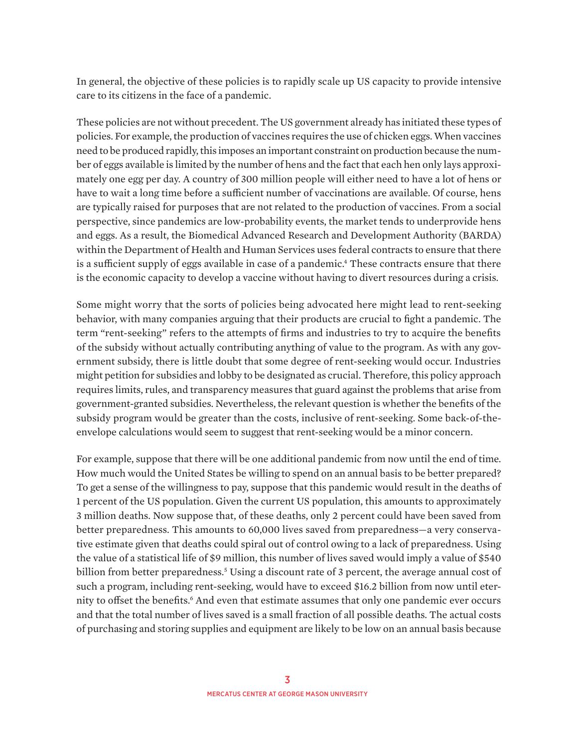In general, the objective of these policies is to rapidly scale up US capacity to provide intensive care to its citizens in the face of a pandemic.

These policies are not without precedent. The US government already has initiated these types of policies. For example, the production of vaccines requires the use of chicken eggs. When vaccines need to be produced rapidly, this imposes an important constraint on production because the number of eggs available is limited by the number of hens and the fact that each hen only lays approximately one egg per day. A country of 300 million people will either need to have a lot of hens or have to wait a long time before a sufficient number of vaccinations are available. Of course, hens are typically raised for purposes that are not related to the production of vaccines. From a social perspective, since pandemics are low-probability events, the market tends to underprovide hens and eggs. As a result, the Biomedical Advanced Research and Development Authority (BARDA) within the Department of Health and Human Services uses federal contracts to ensure that there is a sufficient supply of eggs available in case of a pandemic.4 These contracts ensure that there is the economic capacity to develop a vaccine without having to divert resources during a crisis.

Some might worry that the sorts of policies being advocated here might lead to rent-seeking behavior, with many companies arguing that their products are crucial to fight a pandemic. The term "rent-seeking" refers to the attempts of firms and industries to try to acquire the benefits of the subsidy without actually contributing anything of value to the program. As with any government subsidy, there is little doubt that some degree of rent-seeking would occur. Industries might petition for subsidies and lobby to be designated as crucial. Therefore, this policy approach requires limits, rules, and transparency measures that guard against the problems that arise from government-granted subsidies. Nevertheless, the relevant question is whether the benefits of the subsidy program would be greater than the costs, inclusive of rent-seeking. Some back-of-theenvelope calculations would seem to suggest that rent-seeking would be a minor concern.

For example, suppose that there will be one additional pandemic from now until the end of time. How much would the United States be willing to spend on an annual basis to be better prepared? To get a sense of the willingness to pay, suppose that this pandemic would result in the deaths of 1 percent of the US population. Given the current US population, this amounts to approximately 3 million deaths. Now suppose that, of these deaths, only 2 percent could have been saved from better preparedness. This amounts to 60,000 lives saved from preparedness—a very conservative estimate given that deaths could spiral out of control owing to a lack of preparedness. Using the value of a statistical life of \$9 million, this number of lives saved would imply a value of \$540 billion from better preparedness.<sup>5</sup> Using a discount rate of 3 percent, the average annual cost of such a program, including rent-seeking, would have to exceed \$16.2 billion from now until eternity to offset the benefits.<sup>6</sup> And even that estimate assumes that only one pandemic ever occurs and that the total number of lives saved is a small fraction of all possible deaths. The actual costs of purchasing and storing supplies and equipment are likely to be low on an annual basis because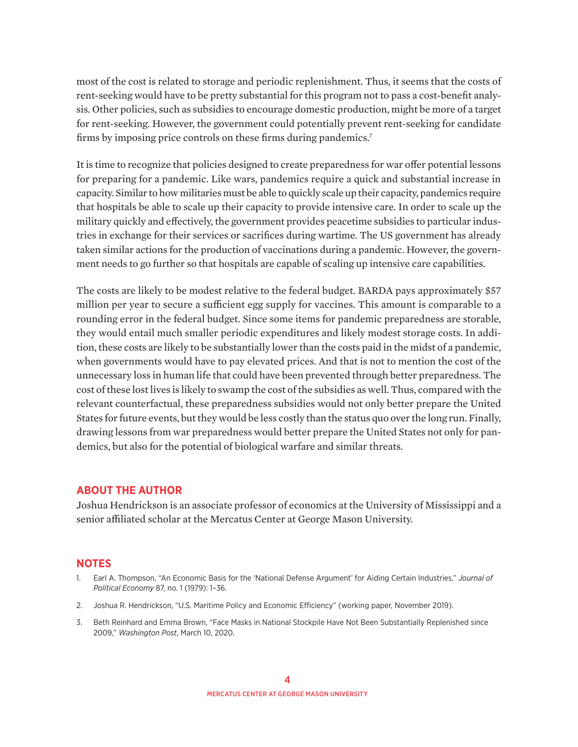most of the cost is related to storage and periodic replenishment. Thus, it seems that the costs of rent-seeking would have to be pretty substantial for this program not to pass a cost-benefit analysis. Other policies, such as subsidies to encourage domestic production, might be more of a target for rent-seeking. However, the government could potentially prevent rent-seeking for candidate firms by imposing price controls on these firms during pandemics.<sup>7</sup>

It is time to recognize that policies designed to create preparedness for war offer potential lessons for preparing for a pandemic. Like wars, pandemics require a quick and substantial increase in capacity. Similar to how militaries must be able to quickly scale up their capacity, pandemics require that hospitals be able to scale up their capacity to provide intensive care. In order to scale up the military quickly and effectively, the government provides peacetime subsidies to particular industries in exchange for their services or sacrifices during wartime. The US government has already taken similar actions for the production of vaccinations during a pandemic. However, the government needs to go further so that hospitals are capable of scaling up intensive care capabilities.

The costs are likely to be modest relative to the federal budget. BARDA pays approximately \$57 million per year to secure a sufficient egg supply for vaccines. This amount is comparable to a rounding error in the federal budget. Since some items for pandemic preparedness are storable, they would entail much smaller periodic expenditures and likely modest storage costs. In addition, these costs are likely to be substantially lower than the costs paid in the midst of a pandemic, when governments would have to pay elevated prices. And that is not to mention the cost of the unnecessary loss in human life that could have been prevented through better preparedness. The cost of these lost lives is likely to swamp the cost of the subsidies as well. Thus, compared with the relevant counterfactual, these preparedness subsidies would not only better prepare the United States for future events, but they would be less costly than the status quo over the long run. Finally, drawing lessons from war preparedness would better prepare the United States not only for pandemics, but also for the potential of biological warfare and similar threats.

## **ABOUT THE AUTHOR**

Joshua Hendrickson is an associate professor of economics at the University of Mississippi and a senior affiliated scholar at the Mercatus Center at George Mason University.

## **NOTES**

- 1. Earl A. Thompson, "An Economic Basis for the 'National Defense Argument' for Aiding Certain Industries," *Journal of Political Economy* 87, no. 1 (1979): 1–36.
- 2. Joshua R. Hendrickson, "U.S. Maritime Policy and Economic Efficiency" (working paper, November 2019).
- 3. Beth Reinhard and Emma Brown, "Face Masks in National Stockpile Have Not Been Substantially Replenished since 2009," *Washington Post*, March 10, 2020.